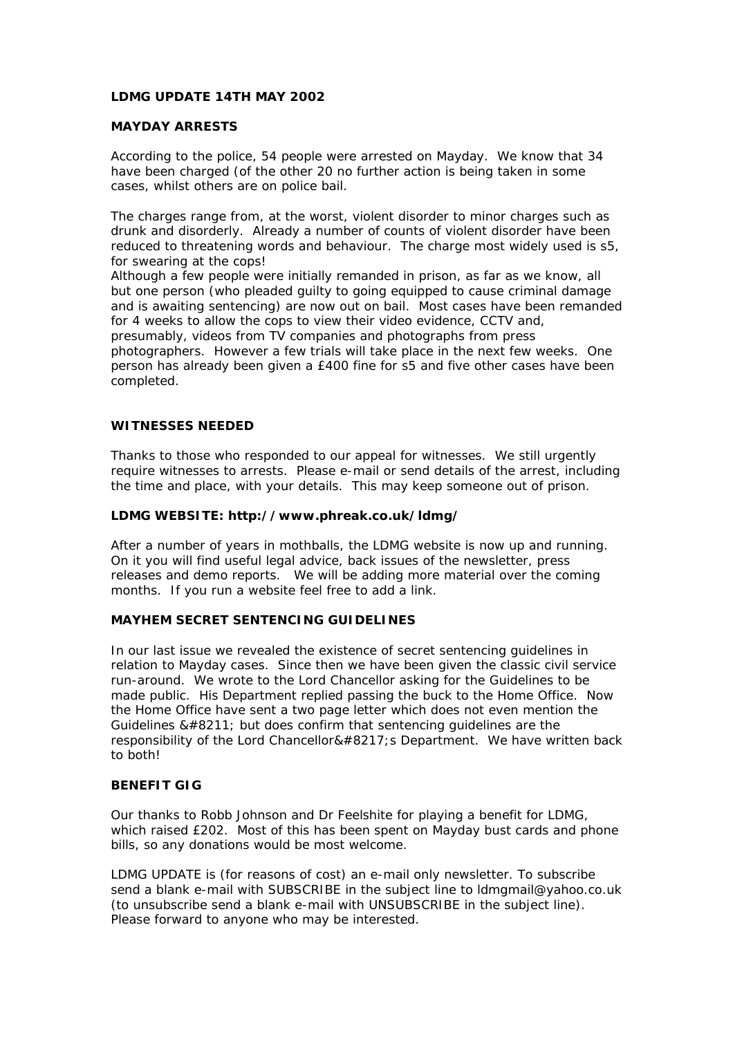## **LDMG UPDATE 14TH MAY 2002**

## **MAYDAY ARRESTS**

According to the police, 54 people were arrested on Mayday. We know that 34 have been charged (of the other 20 no further action is being taken in some cases, whilst others are on police bail.

The charges range from, at the worst, violent disorder to minor charges such as drunk and disorderly. Already a number of counts of violent disorder have been reduced to threatening words and behaviour. The charge most widely used is s5, for swearing at the cops!

Although a few people were initially remanded in prison, as far as we know, all but one person (who pleaded guilty to going equipped to cause criminal damage and is awaiting sentencing) are now out on bail. Most cases have been remanded for 4 weeks to allow the cops to view their video evidence, CCTV and, presumably, videos from TV companies and photographs from press photographers. However a few trials will take place in the next few weeks. One person has already been given a £400 fine for s5 and five other cases have been completed.

### **WITNESSES NEEDED**

Thanks to those who responded to our appeal for witnesses. We still urgently require witnesses to arrests. Please e-mail or send details of the arrest, including the time and place, with your details. This may keep someone out of prison.

### **LDMG WEBSITE: http://www.phreak.co.uk/ldmg/**

After a number of years in mothballs, the LDMG website is now up and running. On it you will find useful legal advice, back issues of the newsletter, press releases and demo reports. We will be adding more material over the coming months. If you run a website feel free to add a link.

## **MAYHEM SECRET SENTENCING GUIDELINES**

In our last issue we revealed the existence of secret sentencing guidelines in relation to Mayday cases. Since then we have been given the classic civil service run-around. We wrote to the Lord Chancellor asking for the Guidelines to be made public. His Department replied passing the buck to the Home Office. Now the Home Office have sent a two page letter which does not even mention the Guidelines  $&\#8211$ ; but does confirm that sentencing guidelines are the responsibility of the Lord Chancellor&#8217:s Department. We have written back to both!

#### **BENEFIT GIG**

Our thanks to Robb Johnson and Dr Feelshite for playing a benefit for LDMG, which raised £202. Most of this has been spent on Mayday bust cards and phone bills, so any donations would be most welcome.

LDMG UPDATE is (for reasons of cost) an e-mail only newsletter. To subscribe send a blank e-mail with SUBSCRIBE in the subject line to ldmgmail@yahoo.co.uk (to unsubscribe send a blank e-mail with UNSUBSCRIBE in the subject line). Please forward to anyone who may be interested.